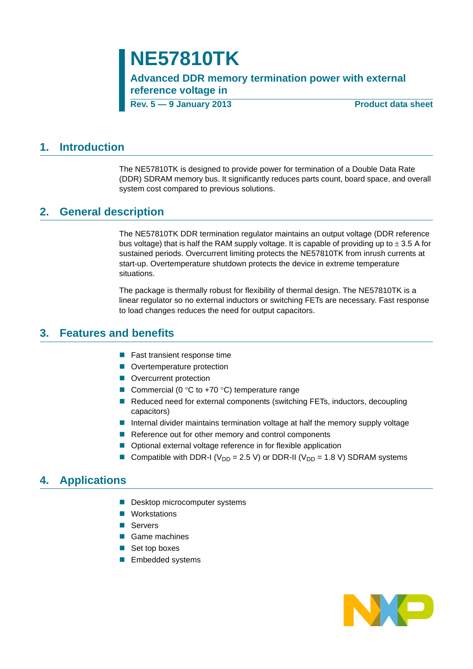# **NE57810TK**

**Advanced DDR memory termination power with external reference voltage in**

**Rev. 5 — 9 January 2013 Product data sheet**

### <span id="page-0-0"></span>**1. Introduction**

The NE57810TK is designed to provide power for termination of a Double Data Rate (DDR) SDRAM memory bus. It significantly reduces parts count, board space, and overall system cost compared to previous solutions.

## <span id="page-0-1"></span>**2. General description**

The NE57810TK DDR termination regulator maintains an output voltage (DDR reference bus voltage) that is half the RAM supply voltage. It is capable of providing up to  $\pm$  3.5 A for sustained periods. Overcurrent limiting protects the NE57810TK from inrush currents at start-up. Overtemperature shutdown protects the device in extreme temperature situations.

The package is thermally robust for flexibility of thermal design. The NE57810TK is a linear regulator so no external inductors or switching FETs are necessary. Fast response to load changes reduces the need for output capacitors.

### <span id="page-0-2"></span>**3. Features and benefits**

- **Fast transient response time**
- **Overtemperature protection**
- **Overcurrent protection**
- Commercial (0  $\degree$ C to +70  $\degree$ C) temperature range
- Reduced need for external components (switching FETs, inductors, decoupling capacitors)
- **Internal divider maintains termination voltage at half the memory supply voltage**
- $\blacksquare$  Reference out for other memory and control components
- Optional external voltage reference in for flexible application
- Compatible with DDR-I ( $V_{DD}$  = 2.5 V) or DDR-II ( $V_{DD}$  = 1.8 V) SDRAM systems

## <span id="page-0-3"></span>**4. Applications**

- Desktop microcomputer systems
- **Norkstations**
- **B** Servers
- Game machines
- Set top boxes
- **Embedded systems**

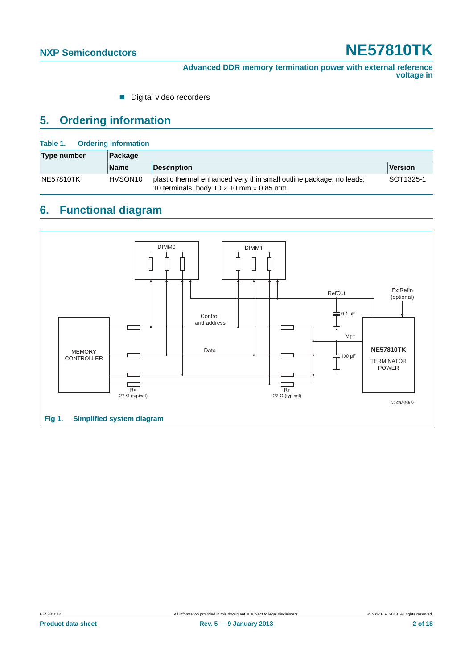Digital video recorders

### <span id="page-1-2"></span>**5. Ordering information**

#### <span id="page-1-1"></span>**Table 1. Ordering information**

| Type number | Package             |                                                                                                                              |           |  |  |  |
|-------------|---------------------|------------------------------------------------------------------------------------------------------------------------------|-----------|--|--|--|
|             | <b>Name</b>         | <b>Description</b>                                                                                                           | Version   |  |  |  |
| NE57810TK   | HVSON <sub>10</sub> | plastic thermal enhanced very thin small outline package; no leads;<br>10 terminals; body 10 $\times$ 10 mm $\times$ 0.85 mm | SOT1325-1 |  |  |  |

# <span id="page-1-3"></span>**6. Functional diagram**

<span id="page-1-0"></span>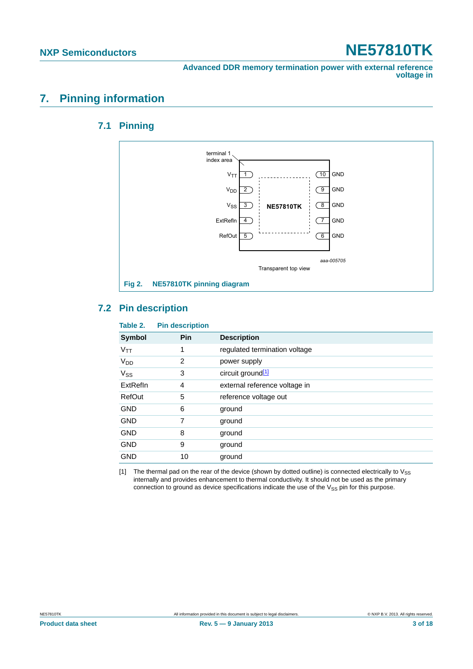## <span id="page-2-2"></span><span id="page-2-1"></span>**7. Pinning information**

### **7.1 Pinning**



### <span id="page-2-3"></span>**7.2 Pin description**

| Pin<br>1<br>2<br>3 | <b>Description</b><br>regulated termination voltage<br>power supply |
|--------------------|---------------------------------------------------------------------|
|                    |                                                                     |
|                    |                                                                     |
|                    |                                                                     |
|                    | circuit ground <sup>[1]</sup>                                       |
| 4                  | external reference voltage in                                       |
| 5                  | reference voltage out                                               |
| 6                  | ground                                                              |
| 7                  | ground                                                              |
| 8                  | ground                                                              |
| 9                  | ground                                                              |
| 10                 | ground                                                              |
| .                  |                                                                     |

<span id="page-2-0"></span>[1] The thermal pad on the rear of the device (shown by dotted outline) is connected electrically to  $V_{SS}$ internally and provides enhancement to thermal conductivity. It should not be used as the primary connection to ground as device specifications indicate the use of the  $V_{SS}$  pin for this purpose.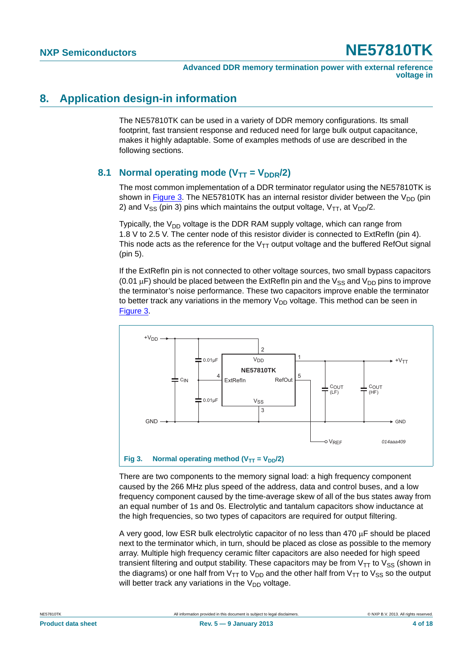### <span id="page-3-1"></span>**8. Application design-in information**

The NE57810TK can be used in a variety of DDR memory configurations. Its small footprint, fast transient response and reduced need for large bulk output capacitance, makes it highly adaptable. Some of examples methods of use are described in the following sections.

### <span id="page-3-2"></span>**8.1 Normal operating mode (** $V_{TT} = V_{DDR}/2$ **)**

The most common implementation of a DDR terminator regulator using the NE57810TK is shown in [Figure 3.](#page-3-0) The NE57810TK has an internal resistor divider between the  $V_{DD}$  (pin 2) and  $V_{SS}$  (pin 3) pins which maintains the output voltage,  $V_{TT}$ , at  $V_{DD}/2$ .

Typically, the  $V_{DD}$  voltage is the DDR RAM supply voltage, which can range from 1.8 V to 2.5 V. The center node of this resistor divider is connected to ExtRefIn (pin 4). This node acts as the reference for the  $V_{TT}$  output voltage and the buffered RefOut signal (pin 5).

If the ExtRefIn pin is not connected to other voltage sources, two small bypass capacitors (0.01  $\mu$ F) should be placed between the ExtRefIn pin and the V<sub>SS</sub> and V<sub>DD</sub> pins to improve the terminator's noise performance. These two capacitors improve enable the terminator to better track any variations in the memory  $V_{DD}$  voltage. This method can be seen in [Figure 3.](#page-3-0)



<span id="page-3-0"></span>There are two components to the memory signal load: a high frequency component caused by the 266 MHz plus speed of the address, data and control buses, and a low frequency component caused by the time-average skew of all of the bus states away from an equal number of 1s and 0s. Electrolytic and tantalum capacitors show inductance at the high frequencies, so two types of capacitors are required for output filtering.

A very good, low ESR bulk electrolytic capacitor of no less than  $470 \mu F$  should be placed next to the terminator which, in turn, should be placed as close as possible to the memory array. Multiple high frequency ceramic filter capacitors are also needed for high speed transient filtering and output stability. These capacitors may be from  $V_{TT}$  to  $V_{SS}$  (shown in the diagrams) or one half from  $V_{TT}$  to  $V_{DD}$  and the other half from  $V_{TT}$  to  $V_{SS}$  so the output will better track any variations in the  $V_{DD}$  voltage.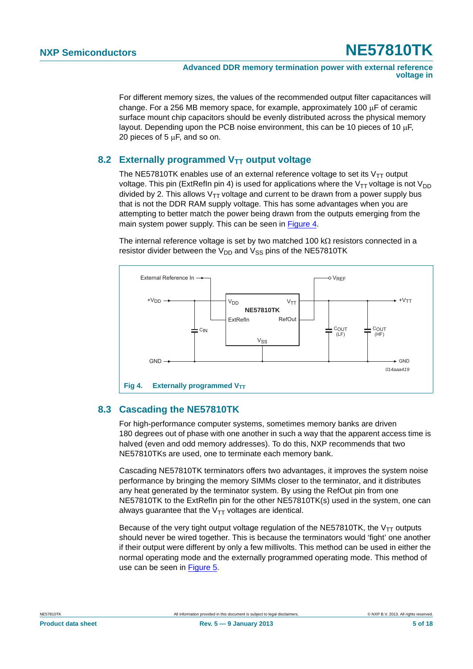For different memory sizes, the values of the recommended output filter capacitances will change. For a 256 MB memory space, for example, approximately 100  $\mu$ F of ceramic surface mount chip capacitors should be evenly distributed across the physical memory layout. Depending upon the PCB noise environment, this can be 10 pieces of 10  $\mu$ F, 20 pieces of  $5 \mu F$ , and so on.

### <span id="page-4-1"></span>**8.2 Externally programmed V<sub>TT</sub> output voltage**

The NE57810TK enables use of an external reference voltage to set its  $V_{TT}$  output voltage. This pin (ExtRefIn pin 4) is used for applications where the  $V_{TT}$  voltage is not  $V_{DD}$ divided by 2. This allows  $V_{TT}$  voltage and current to be drawn from a power supply bus that is not the DDR RAM supply voltage. This has some advantages when you are attempting to better match the power being drawn from the outputs emerging from the main system power supply. This can be seen in [Figure 4.](#page-4-0)

The internal reference voltage is set by two matched 100 k $\Omega$  resistors connected in a resistor divider between the  $V_{DD}$  and  $V_{SS}$  pins of the NE57810TK



### <span id="page-4-2"></span><span id="page-4-0"></span>**8.3 Cascading the NE57810TK**

For high-performance computer systems, sometimes memory banks are driven 180 degrees out of phase with one another in such a way that the apparent access time is halved (even and odd memory addresses). To do this, NXP recommends that two NE57810TKs are used, one to terminate each memory bank.

Cascading NE57810TK terminators offers two advantages, it improves the system noise performance by bringing the memory SIMMs closer to the terminator, and it distributes any heat generated by the terminator system. By using the RefOut pin from one NE57810TK to the ExtRefIn pin for the other NE57810TK(s) used in the system, one can always guarantee that the  $V_{TT}$  voltages are identical.

Because of the very tight output voltage regulation of the NE57810TK, the  $V_{TT}$  outputs should never be wired together. This is because the terminators would 'fight' one another if their output were different by only a few millivolts. This method can be used in either the normal operating mode and the externally programmed operating mode. This method of use can be seen in [Figure 5](#page-5-0).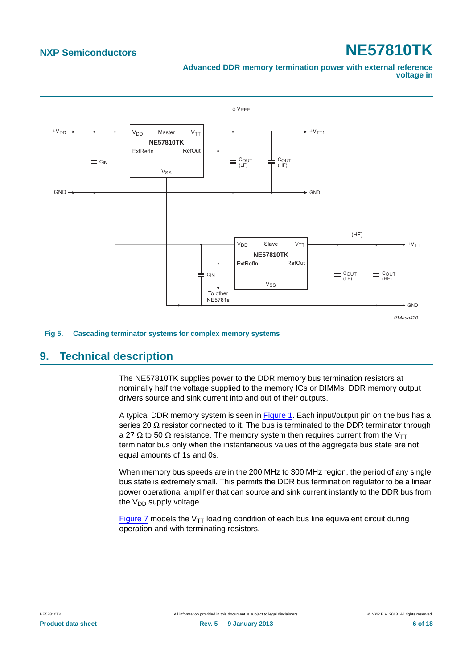**Advanced DDR memory termination power with external reference voltage in**



### <span id="page-5-1"></span><span id="page-5-0"></span>**9. Technical description**

The NE57810TK supplies power to the DDR memory bus termination resistors at nominally half the voltage supplied to the memory ICs or DIMMs. DDR memory output drivers source and sink current into and out of their outputs.

A typical DDR memory system is seen in [Figure 1](#page-1-0). Each input/output pin on the bus has a series 20  $\Omega$  resistor connected to it. The bus is terminated to the DDR terminator through a 27  $\Omega$  to 50  $\Omega$  resistance. The memory system then requires current from the V<sub>TT</sub> terminator bus only when the instantaneous values of the aggregate bus state are not equal amounts of 1s and 0s.

When memory bus speeds are in the 200 MHz to 300 MHz region, the period of any single bus state is extremely small. This permits the DDR bus termination regulator to be a linear power operational amplifier that can source and sink current instantly to the DDR bus from the  $V_{DD}$  supply voltage.

[Figure 7](#page-6-0) models the  $V_{TT}$  loading condition of each bus line equivalent circuit during operation and with terminating resistors.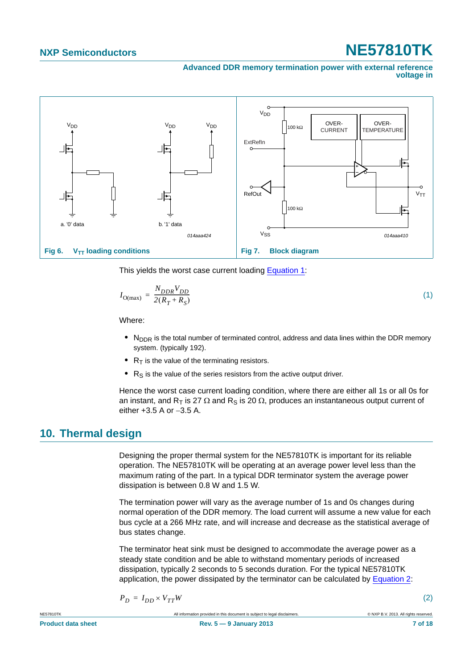**Advanced DDR memory termination power with external reference voltage in**



<span id="page-6-1"></span><span id="page-6-0"></span>This yields the worst case current loading [Equation 1:](#page-6-1)

$$
I_{\text{O(max)}} = \frac{N_{DDR}V_{DD}}{2(R_T + R_S)}\tag{1}
$$

Where:

- N<sub>DDR</sub> is the total number of terminated control, address and data lines within the DDR memory system. (typically 192).
- $R_T$  is the value of the terminating resistors.
- $R<sub>S</sub>$  is the value of the series resistors from the active output driver.

Hence the worst case current loading condition, where there are either all 1s or all 0s for an instant, and R<sub>T</sub> is 27  $\Omega$  and R<sub>S</sub> is 20  $\Omega$ , produces an instantaneous output current of either  $+3.5$  A or  $-3.5$  A.

### <span id="page-6-3"></span>**10. Thermal design**

Designing the proper thermal system for the NE57810TK is important for its reliable operation. The NE57810TK will be operating at an average power level less than the maximum rating of the part. In a typical DDR terminator system the average power dissipation is between 0.8 W and 1.5 W.

The termination power will vary as the average number of 1s and 0s changes during normal operation of the DDR memory. The load current will assume a new value for each bus cycle at a 266 MHz rate, and will increase and decrease as the statistical average of bus states change.

The terminator heat sink must be designed to accommodate the average power as a steady state condition and be able to withstand momentary periods of increased dissipation, typically 2 seconds to 5 seconds duration. For the typical NE57810TK application, the power dissipated by the terminator can be calculated by [Equation 2](#page-6-2):

<span id="page-6-2"></span>
$$
P_D = I_{DD} \times V_{TT} W
$$

(2)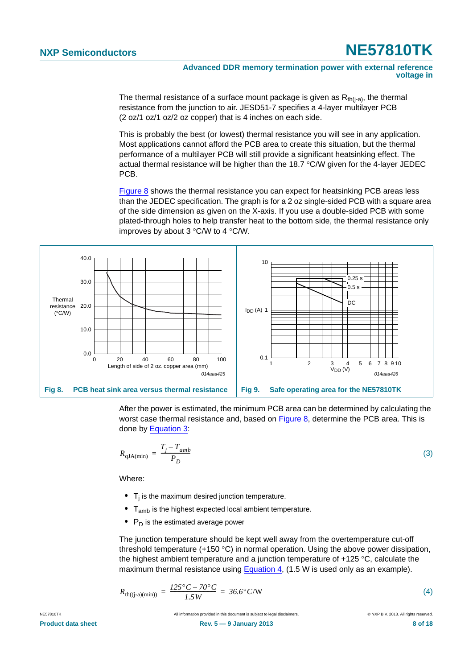The thermal resistance of a surface mount package is given as  $R_{th(i-a)}$ , the thermal resistance from the junction to air. JESD51-7 specifies a 4-layer multilayer PCB (2 oz/1 oz/1 oz/2 oz copper) that is 4 inches on each side.

This is probably the best (or lowest) thermal resistance you will see in any application. Most applications cannot afford the PCB area to create this situation, but the thermal performance of a multilayer PCB will still provide a significant heatsinking effect. The actual thermal resistance will be higher than the 18.7  $\degree$ C/W given for the 4-layer JEDEC PCB.

[Figure 8](#page-7-0) shows the thermal resistance you can expect for heatsinking PCB areas less than the JEDEC specification. The graph is for a 2 oz single-sided PCB with a square area of the side dimension as given on the X-axis. If you use a double-sided PCB with some plated-through holes to help transfer heat to the bottom side, the thermal resistance only improves by about  $3^{\circ}$ C/W to  $4^{\circ}$ C/W.



<span id="page-7-0"></span>After the power is estimated, the minimum PCB area can be determined by calculating the worst case thermal resistance and, based on [Figure 8,](#page-7-0) determine the PCB area. This is done by [Equation 3](#page-7-1):

<span id="page-7-1"></span>
$$
R_{\rm qJA(min)} = \frac{T_j - T_{amb}}{P_D} \tag{3}
$$

Where:

- T<sub>i</sub> is the maximum desired junction temperature.
- **•** Tamb is the highest expected local ambient temperature.
- P<sub>D</sub> is the estimated average power

The junction temperature should be kept well away from the overtemperature cut-off threshold temperature  $(+150 \degree C)$  in normal operation. Using the above power dissipation, the highest ambient temperature and a junction temperature of  $+125$  °C, calculate the maximum thermal resistance using [Equation 4,](#page-7-2) (1.5 W is used only as an example).

<span id="page-7-2"></span>
$$
R_{\text{th}((j-a)(\min))} = \frac{125^{\circ}C - 70^{\circ}C}{1.5W} = 36.6^{\circ}C/W
$$
 (4)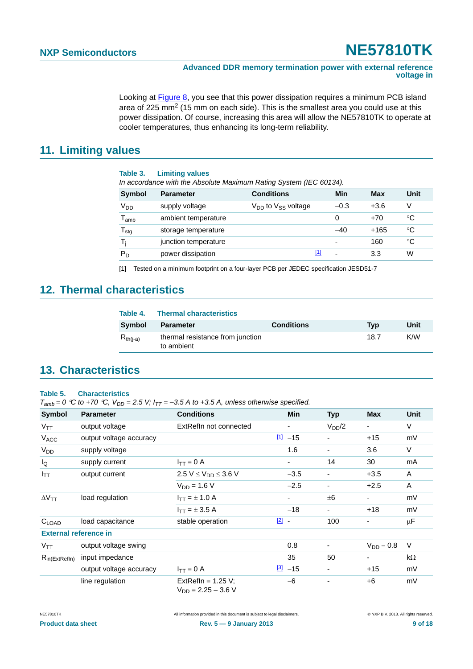Looking at [Figure 8,](#page-7-0) you see that this power dissipation requires a minimum PCB island area of 225 mm2 (15 mm on each side). This is the smallest area you could use at this power dissipation. Of course, increasing this area will allow the NE57810TK to operate at cooler temperatures, thus enhancing its long-term reliability.

### <span id="page-8-1"></span>**11. Limiting values**

| Table 3.                    | <b>Limiting values</b><br>In accordance with the Absolute Maximum Rating System (IEC 60134). |                                            |     |                          |            |      |
|-----------------------------|----------------------------------------------------------------------------------------------|--------------------------------------------|-----|--------------------------|------------|------|
| <b>Symbol</b>               | <b>Parameter</b>                                                                             | <b>Conditions</b>                          |     | Min                      | <b>Max</b> | Unit |
| V <sub>DD</sub>             | supply voltage                                                                               | V <sub>DD</sub> to V <sub>SS</sub> voltage |     | $-0.3$                   | $+3.6$     | V    |
| $\mathsf{T}_{\mathsf{amb}}$ | ambient temperature                                                                          |                                            |     | 0                        | $+70$      | °C   |
| $T_{\text{stg}}$            | storage temperature                                                                          |                                            |     | $-40$                    | $+165$     | °C   |
| Ti                          | junction temperature                                                                         |                                            |     | $\overline{\phantom{0}}$ | 160        | °C   |
| $P_D$                       | power dissipation                                                                            |                                            | [1] | ۰                        | 3.3        | W    |

<span id="page-8-0"></span>[1] Tested on a minimum footprint on a four-layer PCB per JEDEC specification JESD51-7

### <span id="page-8-2"></span>**12. Thermal characteristics**

| Table 4.      | <b>Thermal characteristics</b>                 |                   |      |      |
|---------------|------------------------------------------------|-------------------|------|------|
| <b>Symbol</b> | <b>Parameter</b>                               | <b>Conditions</b> | Tvp  | Unit |
| $R_{th(i-a)}$ | thermal resistance from junction<br>to ambient |                   | 18.7 | K/W  |

### <span id="page-8-3"></span>**13. Characteristics**

#### **Table 5. Characteristics**

 $T_{amb} = 0$  °C to +70 °C,  $V_{DD} = 2.5$  V;  $I_{TT} = -3.5$  A to +3.5 A, unless otherwise specified.

| <b>Symbol</b>                | <b>Parameter</b>        | <b>Conditions</b>                               |               | <b>Min</b>               | <b>Typ</b> | <b>Max</b>               | <b>Unit</b> |
|------------------------------|-------------------------|-------------------------------------------------|---------------|--------------------------|------------|--------------------------|-------------|
| $V_{TT}$                     | output voltage          | ExtRefIn not connected                          |               | $\overline{\phantom{a}}$ | $V_{DD}/2$ | $\overline{\phantom{a}}$ | V           |
| V <sub>ACC</sub>             | output voltage accuracy |                                                 |               | $11 - 15$                |            | $+15$                    | mV          |
| <b>V<sub>DD</sub></b>        | supply voltage          |                                                 |               | 1.6                      |            | 3.6                      | V           |
| $I_{\mathsf{Q}}$             | supply current          | $I_{TT} = 0$ A                                  |               | ۰                        | 14         | 30                       | mA          |
| $I_{TT}$                     | output current          | 2.5 V $\leq$ V <sub>DD</sub> $\leq$ 3.6 V       |               | $-3.5$                   |            | $+3.5$                   | A           |
|                              |                         | $V_{DD} = 1.6 V$                                |               | $-2.5$                   |            | $+2.5$                   | A           |
| $\Delta V$ <sub>TT</sub>     | load regulation         | $I_{TT} = \pm 1.0 A$                            |               |                          | $\pm 6$    | $\blacksquare$           | mV          |
|                              |                         | $I_{TT} = \pm 3.5 A$                            |               | $-18$                    |            | $+18$                    | mV          |
| $C_{LOAD}$                   | load capacitance        | stable operation                                | $\boxed{2}$ - |                          | 100        | ۰                        | $\mu$ F     |
| <b>External reference in</b> |                         |                                                 |               |                          |            |                          |             |
| $V_{\mathsf{TT}}$            | output voltage swing    |                                                 |               | 0.8                      |            | $V_{DD}$ – 0.8           | $\vee$      |
| $R_{in (ExtRefln)}$          | input impedance         |                                                 |               | 35                       | 50         |                          | $k\Omega$   |
|                              | output voltage accuracy | $I_{TT} = 0 A$                                  |               | $\frac{3}{2}$ -15        |            | $+15$                    | mV          |
|                              | line regulation         | ExtRefln = $1.25$ V;<br>$V_{DD} = 2.25 - 3.6 V$ |               | $-6$                     |            | $+6$                     | mV          |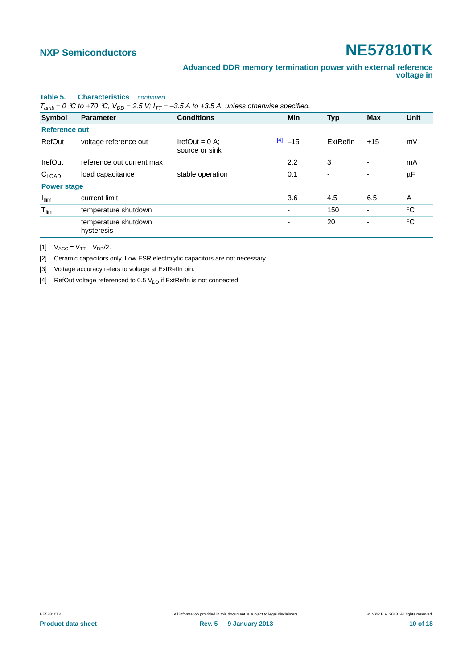#### **Table 5. Characteristics** *…continued*

 $T_{amb} = 0$  °C to +70 °C,  $V_{DD} = 2.5$  V;  $I_{TT} = -3.5$  A to +3.5 A, unless otherwise specified.

| <b>Symbol</b>        | <b>Parameter</b>                   | <b>Conditions</b>                  | <b>Min</b>               | <b>Typ</b> | <b>Max</b>               | <b>Unit</b> |
|----------------------|------------------------------------|------------------------------------|--------------------------|------------|--------------------------|-------------|
| <b>Reference out</b> |                                    |                                    |                          |            |                          |             |
| RefOut               | voltage reference out              | IrefOut = $0$ A;<br>source or sink | $\frac{[4]}{[4]}$ -15    | ExtRefln   | $+15$                    | mV          |
| IrefOut              | reference out current max          |                                    | 2.2                      | 3          | ۰                        | mA          |
| $C_{LOAD}$           | load capacitance                   | stable operation                   | 0.1                      | ٠          | $\overline{\phantom{a}}$ | $\mu$ F     |
| <b>Power stage</b>   |                                    |                                    |                          |            |                          |             |
| $I_{\text{llim}}$    | current limit                      |                                    | 3.6                      | 4.5        | 6.5                      | A           |
| $T_{\text{lim}}$     | temperature shutdown               |                                    | ٠                        | 150        | $\overline{\phantom{a}}$ | $^{\circ}C$ |
|                      | temperature shutdown<br>hysteresis |                                    | $\overline{\phantom{0}}$ | 20         | ٠                        | $^{\circ}C$ |

<span id="page-9-0"></span>[1]  $V_{ACC} = V_{TT} - V_{DD}/2$ .

<span id="page-9-1"></span>[2] Ceramic capacitors only. Low ESR electrolytic capacitors are not necessary.

<span id="page-9-2"></span>[3] Voltage accuracy refers to voltage at ExtRefIn pin.

<span id="page-9-3"></span>[4] RefOut voltage referenced to 0.5  $V_{DD}$  if ExtRefIn is not connected.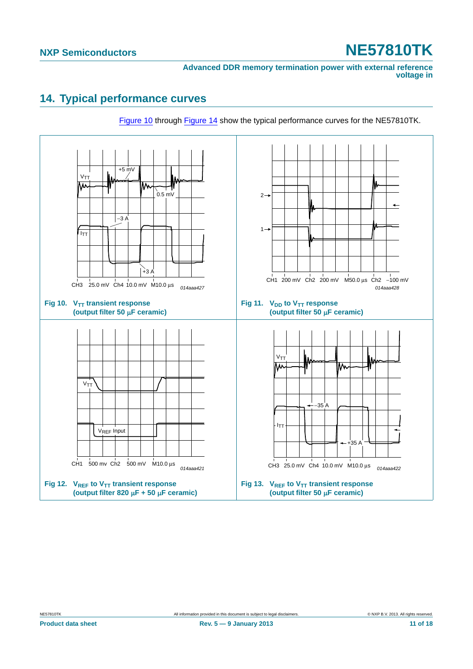### <span id="page-10-1"></span>**14. Typical performance curves**

<span id="page-10-0"></span>

[Figure 10](#page-10-0) through [Figure 14](#page-11-0) show the typical performance curves for the NE57810TK.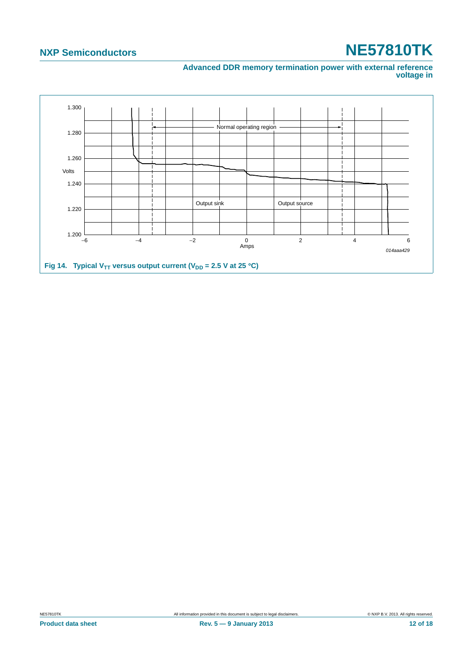#### **Advanced DDR memory termination power with external reference voltage in**

<span id="page-11-0"></span>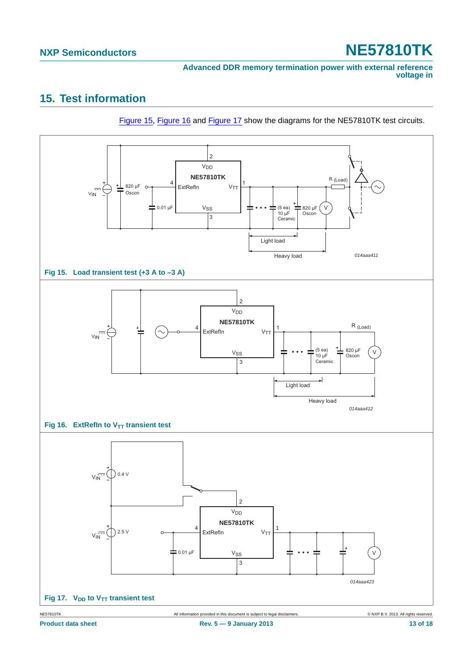# <span id="page-12-3"></span>**15. Test information**



<span id="page-12-2"></span><span id="page-12-1"></span><span id="page-12-0"></span>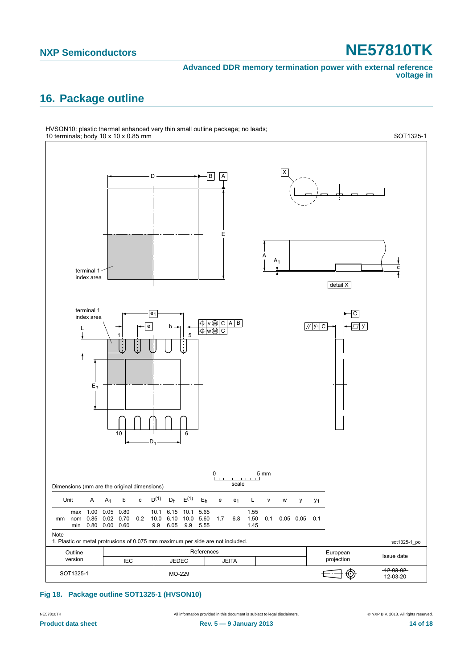## <span id="page-13-1"></span>**16. Package outline**



#### <span id="page-13-0"></span>**Fig 18. Package outline SOT1325-1 (HVSON10)**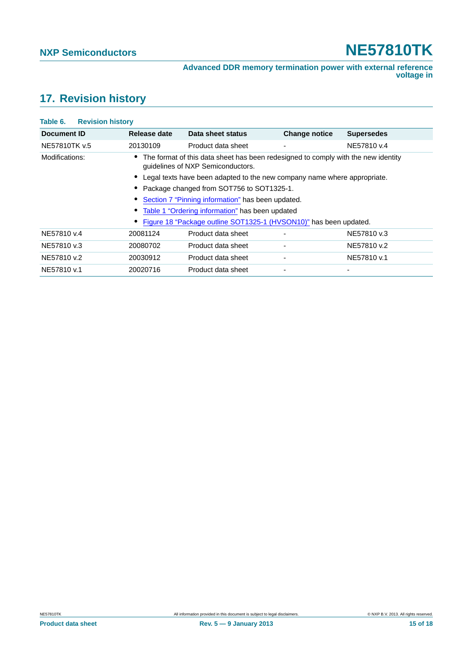# <span id="page-14-0"></span>**17. Revision history**

| Table 6.<br><b>Revision history</b> |                                                                          |                                                                                                                        |                      |                   |  |  |
|-------------------------------------|--------------------------------------------------------------------------|------------------------------------------------------------------------------------------------------------------------|----------------------|-------------------|--|--|
| Document ID                         | Release date                                                             | Data sheet status                                                                                                      | <b>Change notice</b> | <b>Supersedes</b> |  |  |
| NE57810TK v.5                       | 20130109                                                                 | Product data sheet                                                                                                     | ٠                    | NE57810 v.4       |  |  |
| Modifications:                      |                                                                          | The format of this data sheet has been redesigned to comply with the new identity<br>quidelines of NXP Semiconductors. |                      |                   |  |  |
|                                     | Legal texts have been adapted to the new company name where appropriate. |                                                                                                                        |                      |                   |  |  |
|                                     | Package changed from SOT756 to SOT1325-1.                                |                                                                                                                        |                      |                   |  |  |
|                                     | Section 7 "Pinning information" has been updated.                        |                                                                                                                        |                      |                   |  |  |
|                                     | Table 1 "Ordering information" has been updated                          |                                                                                                                        |                      |                   |  |  |
|                                     |                                                                          | Figure 18 "Package outline SOT1325-1 (HVSON10)" has been updated.                                                      |                      |                   |  |  |
| NE57810 v.4                         | 20081124                                                                 | Product data sheet                                                                                                     |                      | NE57810 v.3       |  |  |
| NE57810 v.3                         | 20080702                                                                 | Product data sheet                                                                                                     | ٠                    | NE57810 v.2       |  |  |
| NE57810 v.2                         | 20030912                                                                 | Product data sheet                                                                                                     | ٠                    | NE57810 v.1       |  |  |
| NE57810 v.1                         | 20020716                                                                 | Product data sheet                                                                                                     | ٠                    |                   |  |  |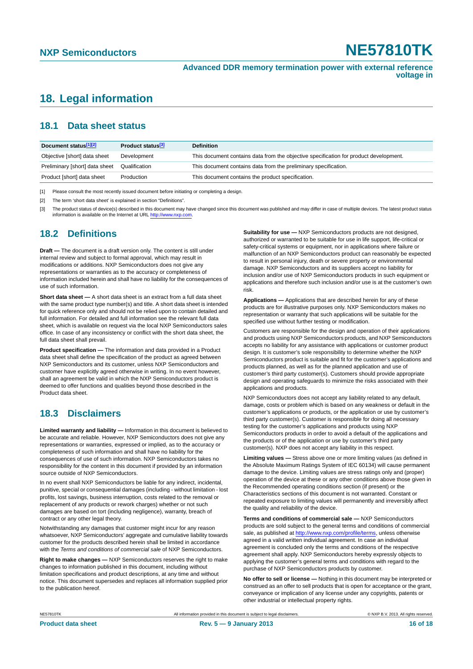# <span id="page-15-0"></span>**18. Legal information**

### <span id="page-15-1"></span>**18.1 Data sheet status**

| Document status[1][2]          | Product status <sup>[3]</sup> | <b>Definition</b>                                                                     |
|--------------------------------|-------------------------------|---------------------------------------------------------------------------------------|
| Objective [short] data sheet   | Development                   | This document contains data from the objective specification for product development. |
| Preliminary [short] data sheet | Qualification                 | This document contains data from the preliminary specification.                       |
| Product [short] data sheet     | Production                    | This document contains the product specification.                                     |

[1] Please consult the most recently issued document before initiating or completing a design.

[2] The term 'short data sheet' is explained in section "Definitions".

[3] The product status of device(s) described in this document may have changed since this document was published and may differ in case of multiple devices. The latest product status information is available on the Internet at URL <http://www.nxp.com>.

### <span id="page-15-2"></span>**18.2 Definitions**

**Draft —** The document is a draft version only. The content is still under internal review and subject to formal approval, which may result in modifications or additions. NXP Semiconductors does not give any representations or warranties as to the accuracy or completeness of information included herein and shall have no liability for the consequences of use of such information.

**Short data sheet —** A short data sheet is an extract from a full data sheet with the same product type number(s) and title. A short data sheet is intended for quick reference only and should not be relied upon to contain detailed and full information. For detailed and full information see the relevant full data sheet, which is available on request via the local NXP Semiconductors sales office. In case of any inconsistency or conflict with the short data sheet, the full data sheet shall prevail.

**Product specification —** The information and data provided in a Product data sheet shall define the specification of the product as agreed between NXP Semiconductors and its customer, unless NXP Semiconductors and customer have explicitly agreed otherwise in writing. In no event however, shall an agreement be valid in which the NXP Semiconductors product is deemed to offer functions and qualities beyond those described in the Product data sheet.

### <span id="page-15-3"></span>**18.3 Disclaimers**

**Limited warranty and liability —** Information in this document is believed to be accurate and reliable. However, NXP Semiconductors does not give any representations or warranties, expressed or implied, as to the accuracy or completeness of such information and shall have no liability for the consequences of use of such information. NXP Semiconductors takes no responsibility for the content in this document if provided by an information source outside of NXP Semiconductors.

In no event shall NXP Semiconductors be liable for any indirect, incidental, punitive, special or consequential damages (including - without limitation - lost profits, lost savings, business interruption, costs related to the removal or replacement of any products or rework charges) whether or not such damages are based on tort (including negligence), warranty, breach of contract or any other legal theory.

Notwithstanding any damages that customer might incur for any reason whatsoever, NXP Semiconductors' aggregate and cumulative liability towards customer for the products described herein shall be limited in accordance with the *Terms and conditions of commercial sale* of NXP Semiconductors.

**Right to make changes —** NXP Semiconductors reserves the right to make changes to information published in this document, including without limitation specifications and product descriptions, at any time and without notice. This document supersedes and replaces all information supplied prior to the publication hereof.

**Suitability for use —** NXP Semiconductors products are not designed, authorized or warranted to be suitable for use in life support, life-critical or safety-critical systems or equipment, nor in applications where failure or malfunction of an NXP Semiconductors product can reasonably be expected to result in personal injury, death or severe property or environmental damage. NXP Semiconductors and its suppliers accept no liability for inclusion and/or use of NXP Semiconductors products in such equipment or applications and therefore such inclusion and/or use is at the customer's own risk.

**Applications —** Applications that are described herein for any of these products are for illustrative purposes only. NXP Semiconductors makes no representation or warranty that such applications will be suitable for the specified use without further testing or modification.

Customers are responsible for the design and operation of their applications and products using NXP Semiconductors products, and NXP Semiconductors accepts no liability for any assistance with applications or customer product design. It is customer's sole responsibility to determine whether the NXP Semiconductors product is suitable and fit for the customer's applications and products planned, as well as for the planned application and use of customer's third party customer(s). Customers should provide appropriate design and operating safeguards to minimize the risks associated with their applications and products.

NXP Semiconductors does not accept any liability related to any default, damage, costs or problem which is based on any weakness or default in the customer's applications or products, or the application or use by customer's third party customer(s). Customer is responsible for doing all necessary testing for the customer's applications and products using NXP Semiconductors products in order to avoid a default of the applications and the products or of the application or use by customer's third party customer(s). NXP does not accept any liability in this respect.

**Limiting values —** Stress above one or more limiting values (as defined in the Absolute Maximum Ratings System of IEC 60134) will cause permanent damage to the device. Limiting values are stress ratings only and (proper) operation of the device at these or any other conditions above those given in the Recommended operating conditions section (if present) or the Characteristics sections of this document is not warranted. Constant or repeated exposure to limiting values will permanently and irreversibly affect the quality and reliability of the device.

**Terms and conditions of commercial sale —** NXP Semiconductors products are sold subject to the general terms and conditions of commercial sale, as published at<http://www.nxp.com/profile/terms>, unless otherwise agreed in a valid written individual agreement. In case an individual agreement is concluded only the terms and conditions of the respective agreement shall apply. NXP Semiconductors hereby expressly objects to applying the customer's general terms and conditions with regard to the purchase of NXP Semiconductors products by customer.

**No offer to sell or license —** Nothing in this document may be interpreted or construed as an offer to sell products that is open for acceptance or the grant, conveyance or implication of any license under any copyrights, patents or other industrial or intellectual property rights.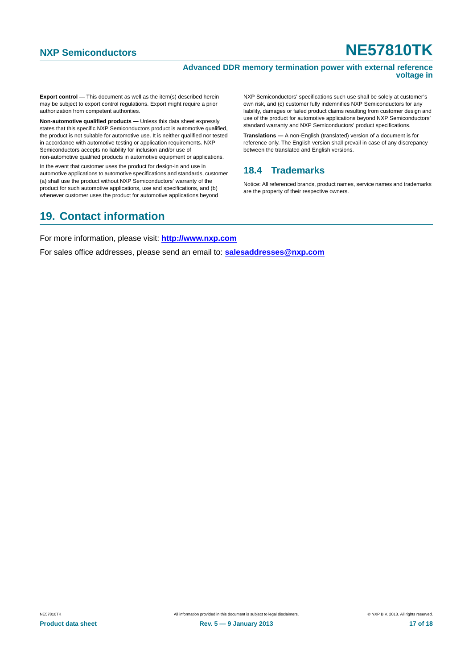#### **Advanced DDR memory termination power with external reference voltage in**

**Export control —** This document as well as the item(s) described herein may be subject to export control regulations. Export might require a prior authorization from competent authorities.

**Non-automotive qualified products —** Unless this data sheet expressly states that this specific NXP Semiconductors product is automotive qualified, the product is not suitable for automotive use. It is neither qualified nor tested in accordance with automotive testing or application requirements. NXP Semiconductors accepts no liability for inclusion and/or use of non-automotive qualified products in automotive equipment or applications.

In the event that customer uses the product for design-in and use in automotive applications to automotive specifications and standards, customer (a) shall use the product without NXP Semiconductors' warranty of the product for such automotive applications, use and specifications, and (b) whenever customer uses the product for automotive applications beyond

## <span id="page-16-1"></span>**19. Contact information**

NXP Semiconductors' specifications such use shall be solely at customer's own risk, and (c) customer fully indemnifies NXP Semiconductors for any liability, damages or failed product claims resulting from customer design and use of the product for automotive applications beyond NXP Semiconductors' standard warranty and NXP Semiconductors' product specifications.

**Translations —** A non-English (translated) version of a document is for reference only. The English version shall prevail in case of any discrepancy between the translated and English versions.

### <span id="page-16-0"></span>**18.4 Trademarks**

Notice: All referenced brands, product names, service names and trademarks are the property of their respective owners.

For more information, please visit: **http://www.nxp.com**

For sales office addresses, please send an email to: **salesaddresses@nxp.com**